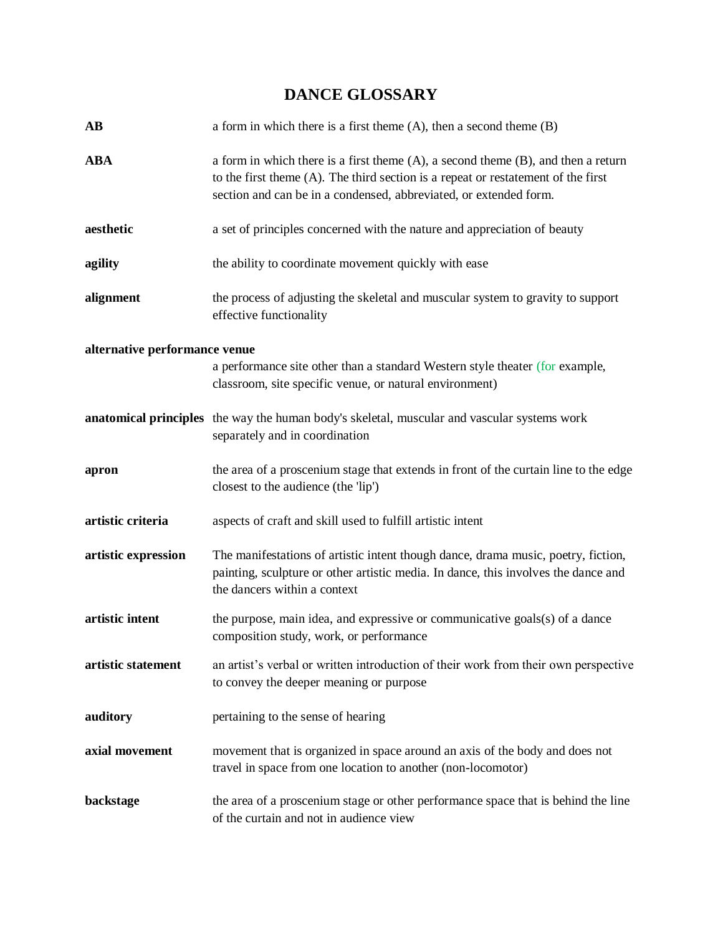# **DANCE GLOSSARY**

| <b>AB</b>                     | a form in which there is a first theme $(A)$ , then a second theme $(B)$                                                                                                                                                                          |
|-------------------------------|---------------------------------------------------------------------------------------------------------------------------------------------------------------------------------------------------------------------------------------------------|
| <b>ABA</b>                    | a form in which there is a first theme $(A)$ , a second theme $(B)$ , and then a return<br>to the first theme (A). The third section is a repeat or restatement of the first<br>section and can be in a condensed, abbreviated, or extended form. |
| aesthetic                     | a set of principles concerned with the nature and appreciation of beauty                                                                                                                                                                          |
| agility                       | the ability to coordinate movement quickly with ease                                                                                                                                                                                              |
| alignment                     | the process of adjusting the skeletal and muscular system to gravity to support<br>effective functionality                                                                                                                                        |
| alternative performance venue |                                                                                                                                                                                                                                                   |
|                               | a performance site other than a standard Western style theater (for example,<br>classroom, site specific venue, or natural environment)                                                                                                           |
|                               | anatomical principles the way the human body's skeletal, muscular and vascular systems work<br>separately and in coordination                                                                                                                     |
| apron                         | the area of a proscenium stage that extends in front of the curtain line to the edge<br>closest to the audience (the 'lip')                                                                                                                       |
| artistic criteria             | aspects of craft and skill used to fulfill artistic intent                                                                                                                                                                                        |
| artistic expression           | The manifestations of artistic intent though dance, drama music, poetry, fiction,<br>painting, sculpture or other artistic media. In dance, this involves the dance and<br>the dancers within a context                                           |
| artistic intent               | the purpose, main idea, and expressive or communicative goals(s) of a dance<br>composition study, work, or performance                                                                                                                            |
| artistic statement            | an artist's verbal or written introduction of their work from their own perspective<br>to convey the deeper meaning or purpose                                                                                                                    |
| auditory                      | pertaining to the sense of hearing                                                                                                                                                                                                                |
| axial movement                | movement that is organized in space around an axis of the body and does not<br>travel in space from one location to another (non-locomotor)                                                                                                       |
| backstage                     | the area of a proscenium stage or other performance space that is behind the line<br>of the curtain and not in audience view                                                                                                                      |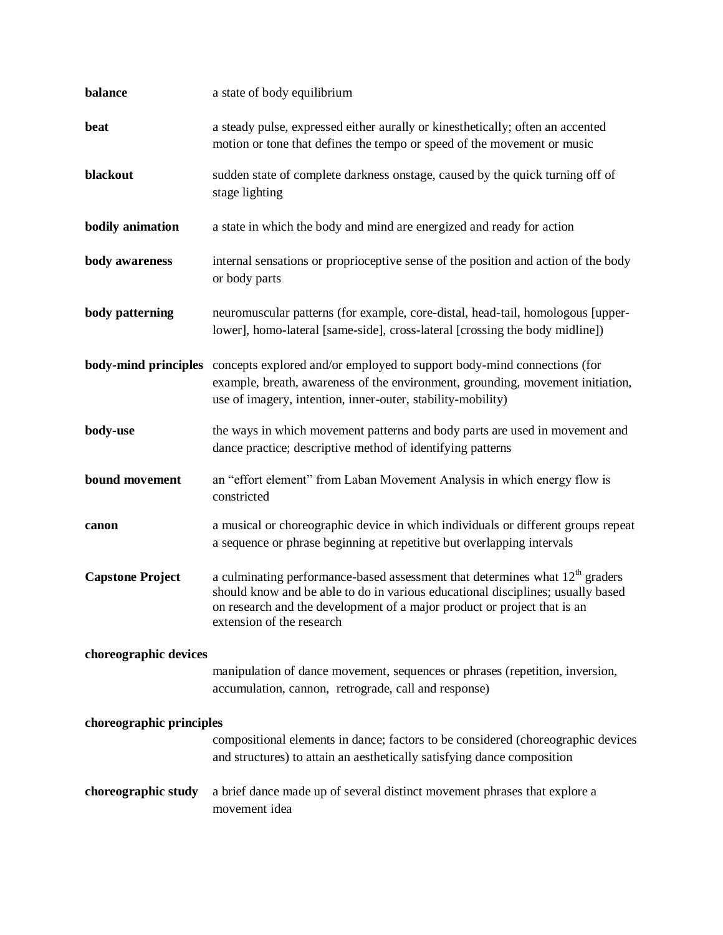| balance                  | a state of body equilibrium                                                                                                                                                                                                                                                |
|--------------------------|----------------------------------------------------------------------------------------------------------------------------------------------------------------------------------------------------------------------------------------------------------------------------|
| beat                     | a steady pulse, expressed either aurally or kinesthetically; often an accented<br>motion or tone that defines the tempo or speed of the movement or music                                                                                                                  |
| blackout                 | sudden state of complete darkness onstage, caused by the quick turning off of<br>stage lighting                                                                                                                                                                            |
| bodily animation         | a state in which the body and mind are energized and ready for action                                                                                                                                                                                                      |
| body awareness           | internal sensations or proprioceptive sense of the position and action of the body<br>or body parts                                                                                                                                                                        |
| body patterning          | neuromuscular patterns (for example, core-distal, head-tail, homologous [upper-<br>lower], homo-lateral [same-side], cross-lateral [crossing the body midline])                                                                                                            |
|                          | <b>body-mind principles</b> concepts explored and/or employed to support body-mind connections (for<br>example, breath, awareness of the environment, grounding, movement initiation,<br>use of imagery, intention, inner-outer, stability-mobility)                       |
| body-use                 | the ways in which movement patterns and body parts are used in movement and<br>dance practice; descriptive method of identifying patterns                                                                                                                                  |
| bound movement           | an "effort element" from Laban Movement Analysis in which energy flow is<br>constricted                                                                                                                                                                                    |
| canon                    | a musical or choreographic device in which individuals or different groups repeat<br>a sequence or phrase beginning at repetitive but overlapping intervals                                                                                                                |
| <b>Capstone Project</b>  | a culminating performance-based assessment that determines what $12th$ graders<br>should know and be able to do in various educational disciplines; usually based<br>on research and the development of a major product or project that is an<br>extension of the research |
| choreographic devices    | manipulation of dance movement, sequences or phrases (repetition, inversion,<br>accumulation, cannon, retrograde, call and response)                                                                                                                                       |
| choreographic principles | compositional elements in dance; factors to be considered (choreographic devices<br>and structures) to attain an aesthetically satisfying dance composition                                                                                                                |
| choreographic study      | a brief dance made up of several distinct movement phrases that explore a<br>movement idea                                                                                                                                                                                 |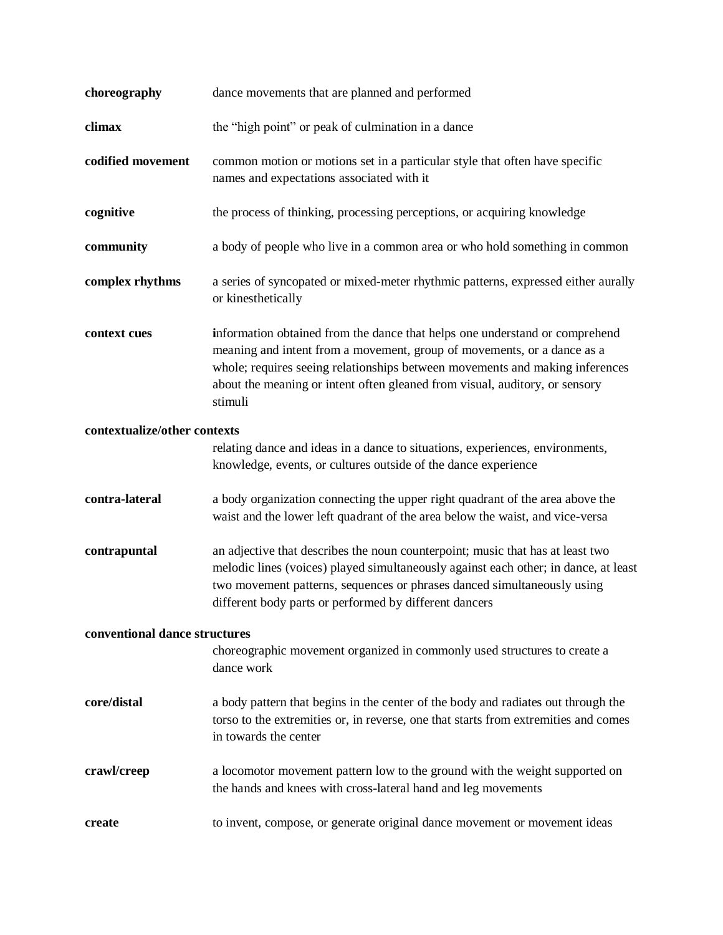| choreography                  | dance movements that are planned and performed                                                                                                                                                                                                                                                                                   |
|-------------------------------|----------------------------------------------------------------------------------------------------------------------------------------------------------------------------------------------------------------------------------------------------------------------------------------------------------------------------------|
| climax                        | the "high point" or peak of culmination in a dance                                                                                                                                                                                                                                                                               |
| codified movement             | common motion or motions set in a particular style that often have specific<br>names and expectations associated with it                                                                                                                                                                                                         |
| cognitive                     | the process of thinking, processing perceptions, or acquiring knowledge                                                                                                                                                                                                                                                          |
| community                     | a body of people who live in a common area or who hold something in common                                                                                                                                                                                                                                                       |
| complex rhythms               | a series of syncopated or mixed-meter rhythmic patterns, expressed either aurally<br>or kinesthetically                                                                                                                                                                                                                          |
| context cues                  | information obtained from the dance that helps one understand or comprehend<br>meaning and intent from a movement, group of movements, or a dance as a<br>whole; requires seeing relationships between movements and making inferences<br>about the meaning or intent often gleaned from visual, auditory, or sensory<br>stimuli |
| contextualize/other contexts  | relating dance and ideas in a dance to situations, experiences, environments,<br>knowledge, events, or cultures outside of the dance experience                                                                                                                                                                                  |
| contra-lateral                | a body organization connecting the upper right quadrant of the area above the<br>waist and the lower left quadrant of the area below the waist, and vice-versa                                                                                                                                                                   |
| contrapuntal                  | an adjective that describes the noun counterpoint; music that has at least two<br>melodic lines (voices) played simultaneously against each other; in dance, at least<br>two movement patterns, sequences or phrases danced simultaneously using<br>different body parts or performed by different dancers                       |
| conventional dance structures |                                                                                                                                                                                                                                                                                                                                  |
|                               | choreographic movement organized in commonly used structures to create a<br>dance work                                                                                                                                                                                                                                           |
| core/distal                   | a body pattern that begins in the center of the body and radiates out through the<br>torso to the extremities or, in reverse, one that starts from extremities and comes<br>in towards the center                                                                                                                                |
| crawl/creep                   | a locomotor movement pattern low to the ground with the weight supported on<br>the hands and knees with cross-lateral hand and leg movements                                                                                                                                                                                     |
| create                        | to invent, compose, or generate original dance movement or movement ideas                                                                                                                                                                                                                                                        |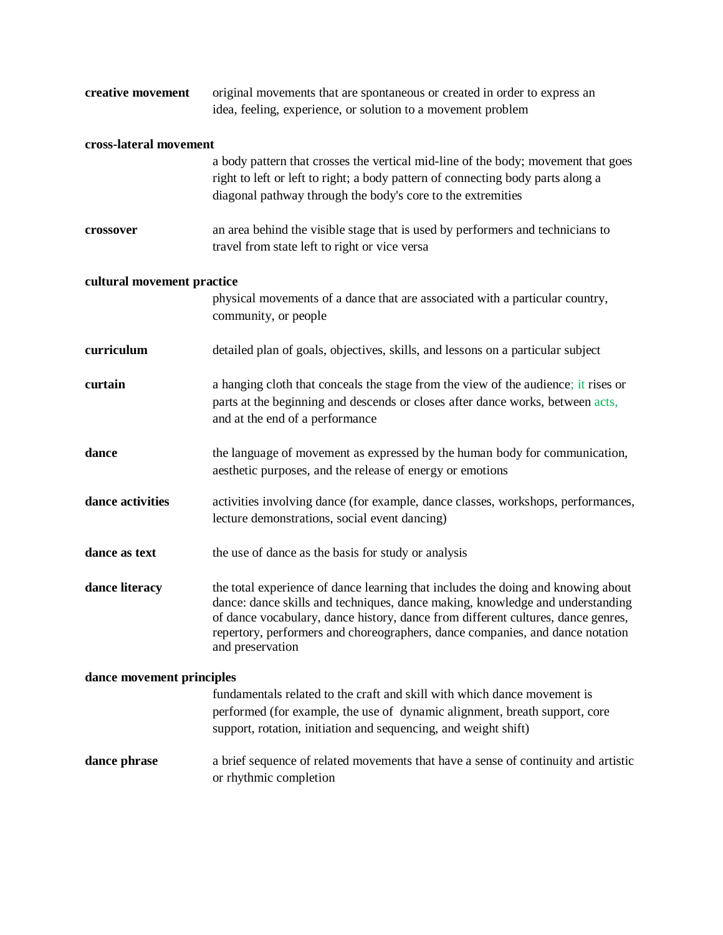| creative movement          | original movements that are spontaneous or created in order to express an<br>idea, feeling, experience, or solution to a movement problem                                                                                                                                                                                                                  |
|----------------------------|------------------------------------------------------------------------------------------------------------------------------------------------------------------------------------------------------------------------------------------------------------------------------------------------------------------------------------------------------------|
| cross-lateral movement     |                                                                                                                                                                                                                                                                                                                                                            |
|                            | a body pattern that crosses the vertical mid-line of the body; movement that goes<br>right to left or left to right; a body pattern of connecting body parts along a<br>diagonal pathway through the body's core to the extremities                                                                                                                        |
| crossover                  | an area behind the visible stage that is used by performers and technicians to<br>travel from state left to right or vice versa                                                                                                                                                                                                                            |
| cultural movement practice |                                                                                                                                                                                                                                                                                                                                                            |
|                            | physical movements of a dance that are associated with a particular country,<br>community, or people                                                                                                                                                                                                                                                       |
| curriculum                 | detailed plan of goals, objectives, skills, and lessons on a particular subject                                                                                                                                                                                                                                                                            |
| curtain                    | a hanging cloth that conceals the stage from the view of the audience; it rises or<br>parts at the beginning and descends or closes after dance works, between acts,<br>and at the end of a performance                                                                                                                                                    |
| dance                      | the language of movement as expressed by the human body for communication,<br>aesthetic purposes, and the release of energy or emotions                                                                                                                                                                                                                    |
| dance activities           | activities involving dance (for example, dance classes, workshops, performances,<br>lecture demonstrations, social event dancing)                                                                                                                                                                                                                          |
| dance as text              | the use of dance as the basis for study or analysis                                                                                                                                                                                                                                                                                                        |
| dance literacy             | the total experience of dance learning that includes the doing and knowing about<br>dance: dance skills and techniques, dance making, knowledge and understanding<br>of dance vocabulary, dance history, dance from different cultures, dance genres,<br>repertory, performers and choreographers, dance companies, and dance notation<br>and preservation |
| dance movement principles  |                                                                                                                                                                                                                                                                                                                                                            |
|                            | fundamentals related to the craft and skill with which dance movement is<br>performed (for example, the use of dynamic alignment, breath support, core<br>support, rotation, initiation and sequencing, and weight shift)                                                                                                                                  |
| dance phrase               | a brief sequence of related movements that have a sense of continuity and artistic<br>or rhythmic completion                                                                                                                                                                                                                                               |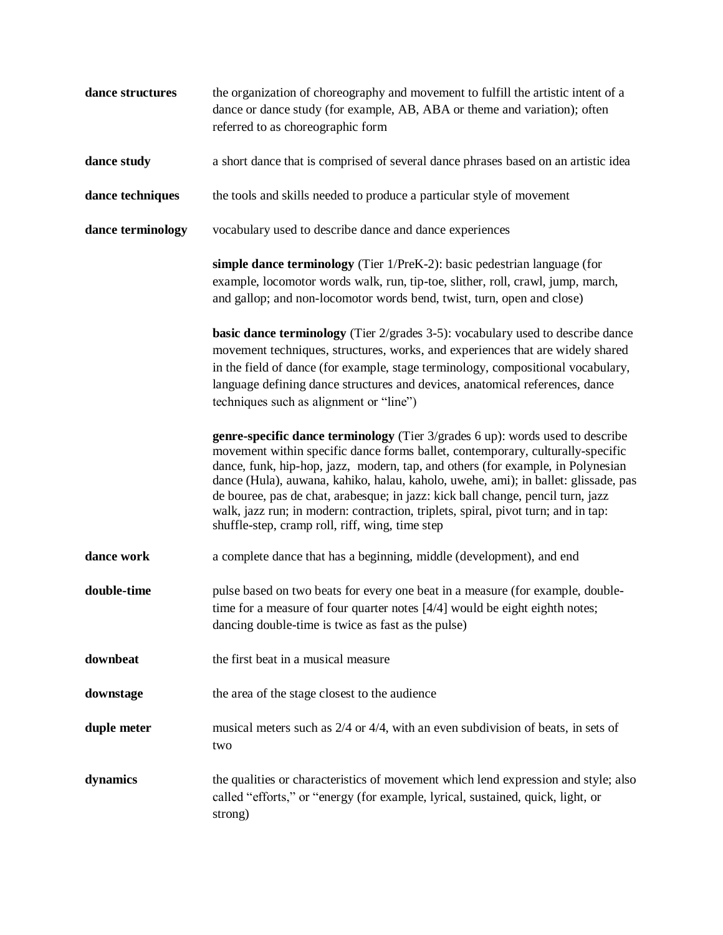| dance structures  | the organization of choreography and movement to fulfill the artistic intent of a<br>dance or dance study (for example, AB, ABA or theme and variation); often<br>referred to as choreographic form                                                                                                                                                                                                                                                                                                                                                                 |
|-------------------|---------------------------------------------------------------------------------------------------------------------------------------------------------------------------------------------------------------------------------------------------------------------------------------------------------------------------------------------------------------------------------------------------------------------------------------------------------------------------------------------------------------------------------------------------------------------|
| dance study       | a short dance that is comprised of several dance phrases based on an artistic idea                                                                                                                                                                                                                                                                                                                                                                                                                                                                                  |
| dance techniques  | the tools and skills needed to produce a particular style of movement                                                                                                                                                                                                                                                                                                                                                                                                                                                                                               |
| dance terminology | vocabulary used to describe dance and dance experiences                                                                                                                                                                                                                                                                                                                                                                                                                                                                                                             |
|                   | simple dance terminology (Tier 1/PreK-2): basic pedestrian language (for<br>example, locomotor words walk, run, tip-toe, slither, roll, crawl, jump, march,<br>and gallop; and non-locomotor words bend, twist, turn, open and close)                                                                                                                                                                                                                                                                                                                               |
|                   | <b>basic dance terminology</b> (Tier 2/grades 3-5): vocabulary used to describe dance<br>movement techniques, structures, works, and experiences that are widely shared<br>in the field of dance (for example, stage terminology, compositional vocabulary,<br>language defining dance structures and devices, anatomical references, dance<br>techniques such as alignment or "line")                                                                                                                                                                              |
|                   | genre-specific dance terminology (Tier 3/grades 6 up): words used to describe<br>movement within specific dance forms ballet, contemporary, culturally-specific<br>dance, funk, hip-hop, jazz, modern, tap, and others (for example, in Polynesian<br>dance (Hula), auwana, kahiko, halau, kaholo, uwehe, ami); in ballet: glissade, pas<br>de bouree, pas de chat, arabesque; in jazz: kick ball change, pencil turn, jazz<br>walk, jazz run; in modern: contraction, triplets, spiral, pivot turn; and in tap:<br>shuffle-step, cramp roll, riff, wing, time step |
| dance work        | a complete dance that has a beginning, middle (development), and end                                                                                                                                                                                                                                                                                                                                                                                                                                                                                                |
| double-time       | pulse based on two beats for every one beat in a measure (for example, double-<br>time for a measure of four quarter notes $[4/4]$ would be eight eighth notes;<br>dancing double-time is twice as fast as the pulse)                                                                                                                                                                                                                                                                                                                                               |
| downbeat          | the first beat in a musical measure                                                                                                                                                                                                                                                                                                                                                                                                                                                                                                                                 |
| downstage         | the area of the stage closest to the audience                                                                                                                                                                                                                                                                                                                                                                                                                                                                                                                       |
| duple meter       | musical meters such as 2/4 or 4/4, with an even subdivision of beats, in sets of<br>two                                                                                                                                                                                                                                                                                                                                                                                                                                                                             |
| dynamics          | the qualities or characteristics of movement which lend expression and style; also<br>called "efforts," or "energy (for example, lyrical, sustained, quick, light, or<br>strong)                                                                                                                                                                                                                                                                                                                                                                                    |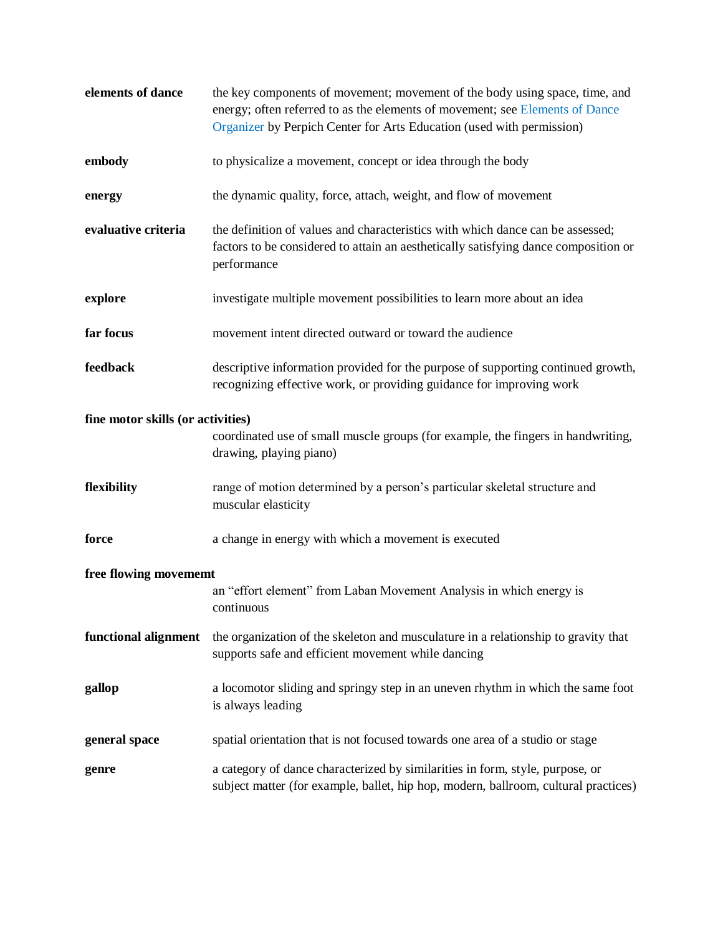| elements of dance                 | the key components of movement; movement of the body using space, time, and<br>energy; often referred to as the elements of movement; see Elements of Dance<br>Organizer by Perpich Center for Arts Education (used with permission) |
|-----------------------------------|--------------------------------------------------------------------------------------------------------------------------------------------------------------------------------------------------------------------------------------|
| embody                            | to physicalize a movement, concept or idea through the body                                                                                                                                                                          |
| energy                            | the dynamic quality, force, attach, weight, and flow of movement                                                                                                                                                                     |
| evaluative criteria               | the definition of values and characteristics with which dance can be assessed;<br>factors to be considered to attain an aesthetically satisfying dance composition or<br>performance                                                 |
| explore                           | investigate multiple movement possibilities to learn more about an idea                                                                                                                                                              |
| far focus                         | movement intent directed outward or toward the audience                                                                                                                                                                              |
| feedback                          | descriptive information provided for the purpose of supporting continued growth,<br>recognizing effective work, or providing guidance for improving work                                                                             |
| fine motor skills (or activities) | coordinated use of small muscle groups (for example, the fingers in handwriting,<br>drawing, playing piano)                                                                                                                          |
| flexibility                       | range of motion determined by a person's particular skeletal structure and<br>muscular elasticity                                                                                                                                    |
| force                             | a change in energy with which a movement is executed                                                                                                                                                                                 |
| free flowing movememt             | an "effort element" from Laban Movement Analysis in which energy is<br>continuous                                                                                                                                                    |
| functional alignment              | the organization of the skeleton and musculature in a relationship to gravity that<br>supports safe and efficient movement while dancing                                                                                             |
| gallop                            | a locomotor sliding and springy step in an uneven rhythm in which the same foot<br>is always leading                                                                                                                                 |
| general space                     | spatial orientation that is not focused towards one area of a studio or stage                                                                                                                                                        |
| genre                             | a category of dance characterized by similarities in form, style, purpose, or<br>subject matter (for example, ballet, hip hop, modern, ballroom, cultural practices)                                                                 |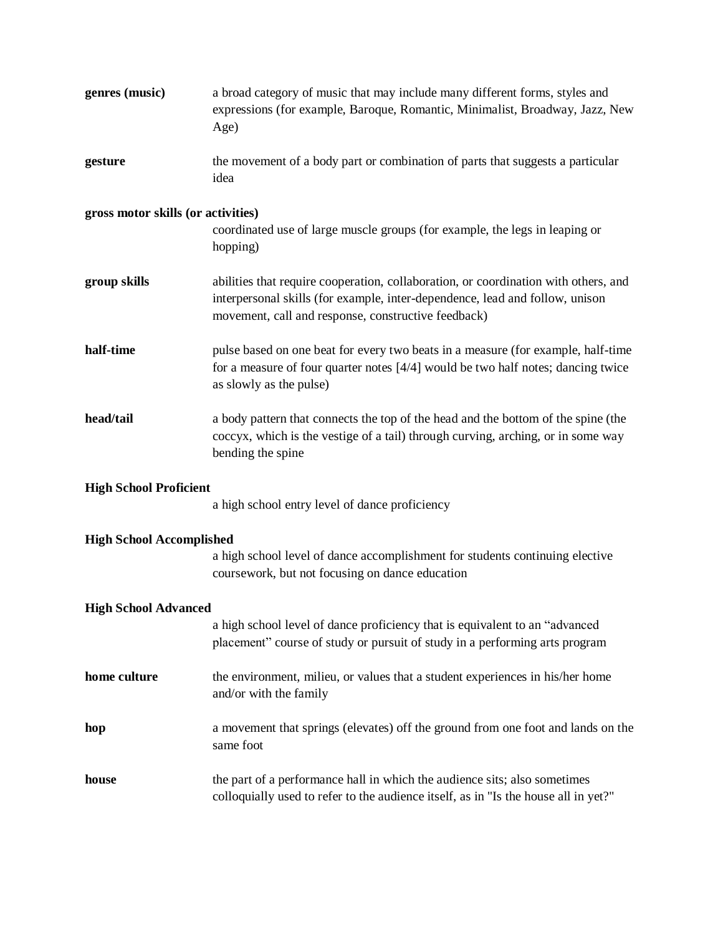| genres (music)                     | a broad category of music that may include many different forms, styles and<br>expressions (for example, Baroque, Romantic, Minimalist, Broadway, Jazz, New<br>Age)                                                        |
|------------------------------------|----------------------------------------------------------------------------------------------------------------------------------------------------------------------------------------------------------------------------|
| gesture                            | the movement of a body part or combination of parts that suggests a particular<br>idea                                                                                                                                     |
| gross motor skills (or activities) | coordinated use of large muscle groups (for example, the legs in leaping or<br>hopping)                                                                                                                                    |
| group skills                       | abilities that require cooperation, collaboration, or coordination with others, and<br>interpersonal skills (for example, inter-dependence, lead and follow, unison<br>movement, call and response, constructive feedback) |
| half-time                          | pulse based on one beat for every two beats in a measure (for example, half-time<br>for a measure of four quarter notes [4/4] would be two half notes; dancing twice<br>as slowly as the pulse)                            |
| head/tail                          | a body pattern that connects the top of the head and the bottom of the spine (the<br>coccyx, which is the vestige of a tail) through curving, arching, or in some way<br>bending the spine                                 |
| <b>High School Proficient</b>      | a high school entry level of dance proficiency                                                                                                                                                                             |
| <b>High School Accomplished</b>    |                                                                                                                                                                                                                            |
|                                    | a high school level of dance accomplishment for students continuing elective<br>coursework, but not focusing on dance education                                                                                            |
| <b>High School Advanced</b>        |                                                                                                                                                                                                                            |
|                                    | a high school level of dance proficiency that is equivalent to an "advanced<br>placement" course of study or pursuit of study in a performing arts program                                                                 |
| home culture                       | the environment, milieu, or values that a student experiences in his/her home<br>and/or with the family                                                                                                                    |
| hop                                | a movement that springs (elevates) off the ground from one foot and lands on the<br>same foot                                                                                                                              |
| house                              | the part of a performance hall in which the audience sits; also sometimes<br>colloquially used to refer to the audience itself, as in "Is the house all in yet?"                                                           |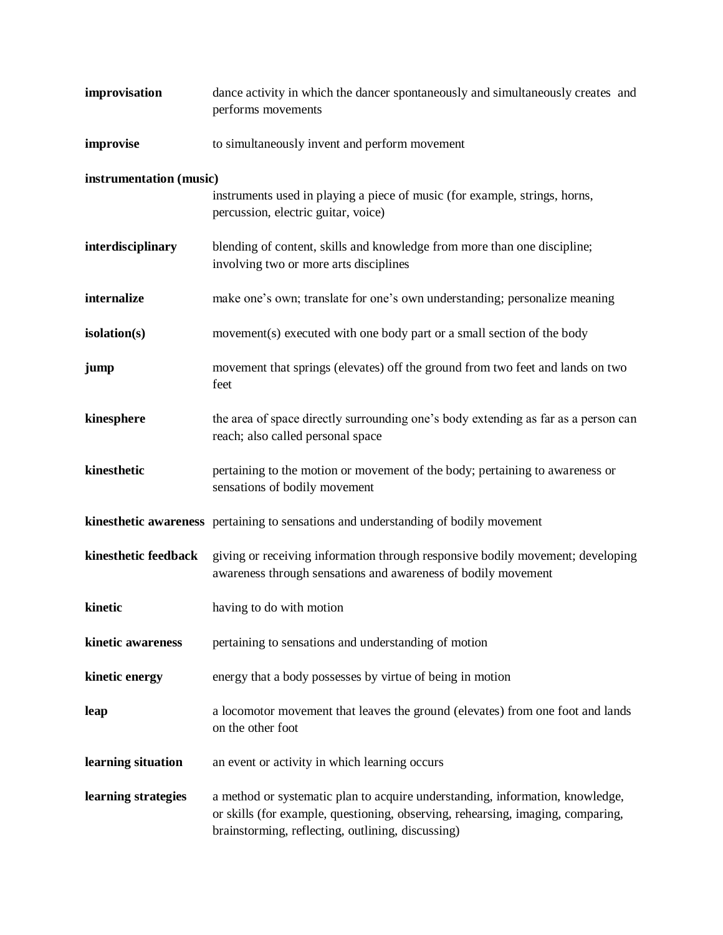| improvisation           | dance activity in which the dancer spontaneously and simultaneously creates and<br>performs movements                                                                                                                 |
|-------------------------|-----------------------------------------------------------------------------------------------------------------------------------------------------------------------------------------------------------------------|
| improvise               | to simultaneously invent and perform movement                                                                                                                                                                         |
| instrumentation (music) |                                                                                                                                                                                                                       |
|                         | instruments used in playing a piece of music (for example, strings, horns,<br>percussion, electric guitar, voice)                                                                                                     |
| interdisciplinary       | blending of content, skills and knowledge from more than one discipline;<br>involving two or more arts disciplines                                                                                                    |
| internalize             | make one's own; translate for one's own understanding; personalize meaning                                                                                                                                            |
| isolation(s)            | movement(s) executed with one body part or a small section of the body                                                                                                                                                |
| jump                    | movement that springs (elevates) off the ground from two feet and lands on two<br>feet                                                                                                                                |
| kinesphere              | the area of space directly surrounding one's body extending as far as a person can<br>reach; also called personal space                                                                                               |
| kinesthetic             | pertaining to the motion or movement of the body; pertaining to awareness or<br>sensations of bodily movement                                                                                                         |
|                         | kinesthetic awareness pertaining to sensations and understanding of bodily movement                                                                                                                                   |
| kinesthetic feedback    | giving or receiving information through responsive bodily movement; developing<br>awareness through sensations and awareness of bodily movement                                                                       |
| kinetic                 | having to do with motion                                                                                                                                                                                              |
| kinetic awareness       | pertaining to sensations and understanding of motion                                                                                                                                                                  |
| kinetic energy          | energy that a body possesses by virtue of being in motion                                                                                                                                                             |
| leap                    | a locomotor movement that leaves the ground (elevates) from one foot and lands<br>on the other foot                                                                                                                   |
| learning situation      | an event or activity in which learning occurs                                                                                                                                                                         |
| learning strategies     | a method or systematic plan to acquire understanding, information, knowledge,<br>or skills (for example, questioning, observing, rehearsing, imaging, comparing,<br>brainstorming, reflecting, outlining, discussing) |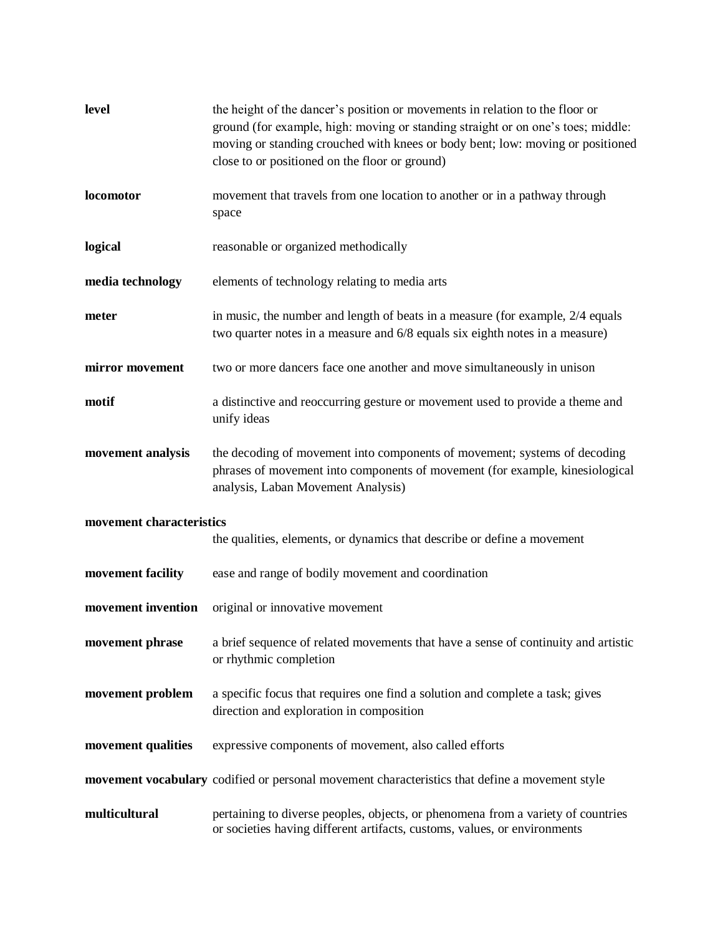| level                    | the height of the dancer's position or movements in relation to the floor or<br>ground (for example, high: moving or standing straight or on one's toes; middle:<br>moving or standing crouched with knees or body bent; low: moving or positioned<br>close to or positioned on the floor or ground) |
|--------------------------|------------------------------------------------------------------------------------------------------------------------------------------------------------------------------------------------------------------------------------------------------------------------------------------------------|
| locomotor                | movement that travels from one location to another or in a pathway through<br>space                                                                                                                                                                                                                  |
| logical                  | reasonable or organized methodically                                                                                                                                                                                                                                                                 |
| media technology         | elements of technology relating to media arts                                                                                                                                                                                                                                                        |
| meter                    | in music, the number and length of beats in a measure (for example, 2/4 equals<br>two quarter notes in a measure and 6/8 equals six eighth notes in a measure)                                                                                                                                       |
| mirror movement          | two or more dancers face one another and move simultaneously in unison                                                                                                                                                                                                                               |
| motif                    | a distinctive and reoccurring gesture or movement used to provide a theme and<br>unify ideas                                                                                                                                                                                                         |
| movement analysis        | the decoding of movement into components of movement; systems of decoding<br>phrases of movement into components of movement (for example, kinesiological<br>analysis, Laban Movement Analysis)                                                                                                      |
| movement characteristics | the qualities, elements, or dynamics that describe or define a movement                                                                                                                                                                                                                              |
| movement facility        | ease and range of bodily movement and coordination                                                                                                                                                                                                                                                   |
| movement invention       | original or innovative movement                                                                                                                                                                                                                                                                      |
| movement phrase          | a brief sequence of related movements that have a sense of continuity and artistic<br>or rhythmic completion                                                                                                                                                                                         |
| movement problem         | a specific focus that requires one find a solution and complete a task; gives<br>direction and exploration in composition                                                                                                                                                                            |
| movement qualities       | expressive components of movement, also called efforts                                                                                                                                                                                                                                               |
|                          | movement vocabulary codified or personal movement characteristics that define a movement style                                                                                                                                                                                                       |
| multicultural            | pertaining to diverse peoples, objects, or phenomena from a variety of countries<br>or societies having different artifacts, customs, values, or environments                                                                                                                                        |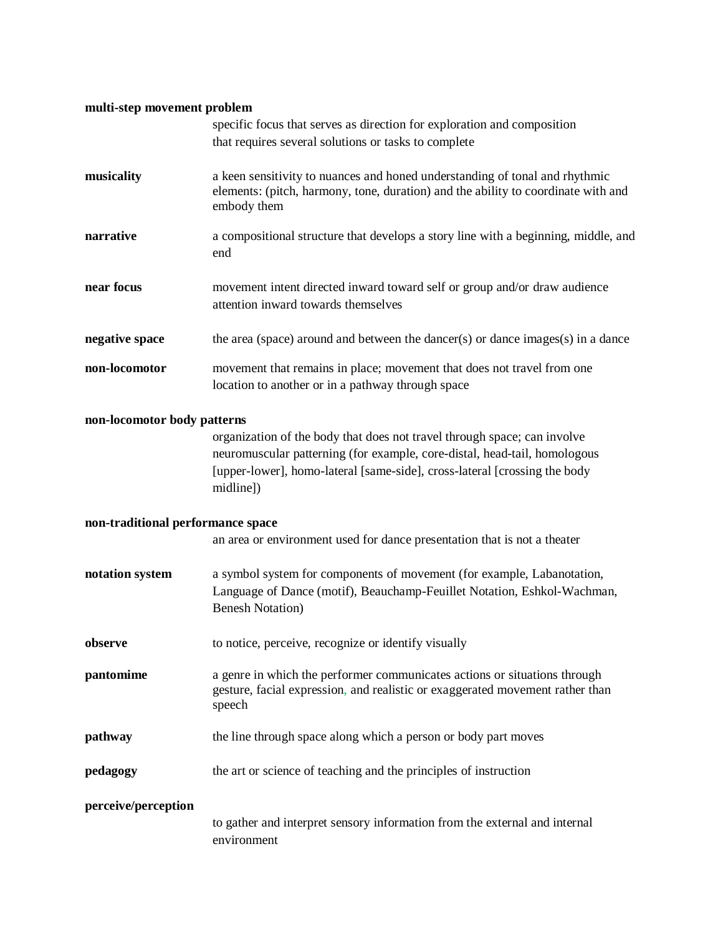## **multi-step movement problem**

|                                   | specific focus that serves as direction for exploration and composition<br>that requires several solutions or tasks to complete                                                                                                                 |
|-----------------------------------|-------------------------------------------------------------------------------------------------------------------------------------------------------------------------------------------------------------------------------------------------|
| musicality                        | a keen sensitivity to nuances and honed understanding of tonal and rhythmic<br>elements: (pitch, harmony, tone, duration) and the ability to coordinate with and<br>embody them                                                                 |
| narrative                         | a compositional structure that develops a story line with a beginning, middle, and<br>end                                                                                                                                                       |
| near focus                        | movement intent directed inward toward self or group and/or draw audience<br>attention inward towards themselves                                                                                                                                |
| negative space                    | the area (space) around and between the dancer(s) or dance images(s) in a dance                                                                                                                                                                 |
| non-locomotor                     | movement that remains in place; movement that does not travel from one<br>location to another or in a pathway through space                                                                                                                     |
| non-locomotor body patterns       |                                                                                                                                                                                                                                                 |
|                                   | organization of the body that does not travel through space; can involve<br>neuromuscular patterning (for example, core-distal, head-tail, homologous<br>[upper-lower], homo-lateral [same-side], cross-lateral [crossing the body<br>midline]) |
| non-traditional performance space |                                                                                                                                                                                                                                                 |
|                                   | an area or environment used for dance presentation that is not a theater                                                                                                                                                                        |
| notation system                   | a symbol system for components of movement (for example, Labanotation,<br>Language of Dance (motif), Beauchamp-Feuillet Notation, Eshkol-Wachman,<br><b>Benesh Notation</b> )                                                                   |
| observe                           | to notice, perceive, recognize or identify visually                                                                                                                                                                                             |
| pantomime                         | a genre in which the performer communicates actions or situations through<br>gesture, facial expression, and realistic or exaggerated movement rather than<br>speech                                                                            |
| pathway                           | the line through space along which a person or body part moves                                                                                                                                                                                  |
| pedagogy                          | the art or science of teaching and the principles of instruction                                                                                                                                                                                |
| perceive/perception               |                                                                                                                                                                                                                                                 |
|                                   | to gather and interpret sensory information from the external and internal<br>environment                                                                                                                                                       |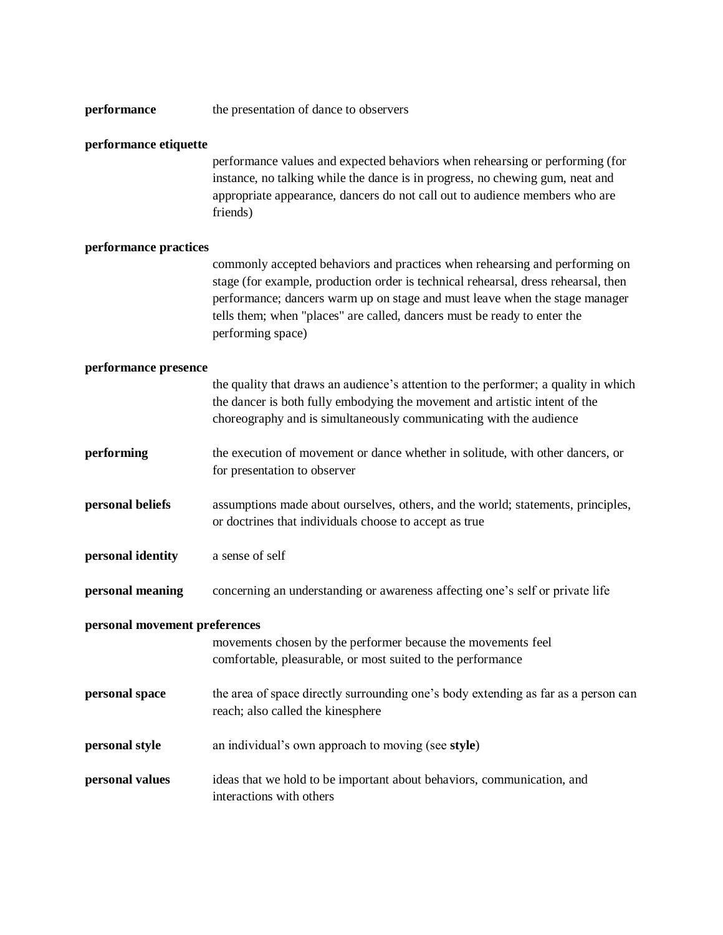| performance<br>the presentation of dance to observers |  |
|-------------------------------------------------------|--|
|-------------------------------------------------------|--|

### **performance etiquette**

performance values and expected behaviors when rehearsing or performing (for instance, no talking while the dance is in progress, no chewing gum, neat and appropriate appearance, dancers do not call out to audience members who are friends)

### **performance practices**

commonly accepted behaviors and practices when rehearsing and performing on stage (for example, production order is technical rehearsal, dress rehearsal, then performance; dancers warm up on stage and must leave when the stage manager tells them; when "places" are called, dancers must be ready to enter the performing space)

#### **performance presence**

|                               | the quality that draws an audience's attention to the performer; a quality in which<br>the dancer is both fully embodying the movement and artistic intent of the<br>choreography and is simultaneously communicating with the audience |
|-------------------------------|-----------------------------------------------------------------------------------------------------------------------------------------------------------------------------------------------------------------------------------------|
| performing                    | the execution of movement or dance whether in solitude, with other dancers, or<br>for presentation to observer                                                                                                                          |
| personal beliefs              | assumptions made about ourselves, others, and the world; statements, principles,<br>or doctrines that individuals choose to accept as true                                                                                              |
| personal identity             | a sense of self                                                                                                                                                                                                                         |
| personal meaning              | concerning an understanding or awareness affecting one's self or private life                                                                                                                                                           |
| personal movement preferences | movements chosen by the performer because the movements feel<br>comfortable, pleasurable, or most suited to the performance                                                                                                             |
| personal space                | the area of space directly surrounding one's body extending as far as a person can<br>reach; also called the kinesphere                                                                                                                 |
| personal style                | an individual's own approach to moving (see style)                                                                                                                                                                                      |
| personal values               | ideas that we hold to be important about behaviors, communication, and<br>interactions with others                                                                                                                                      |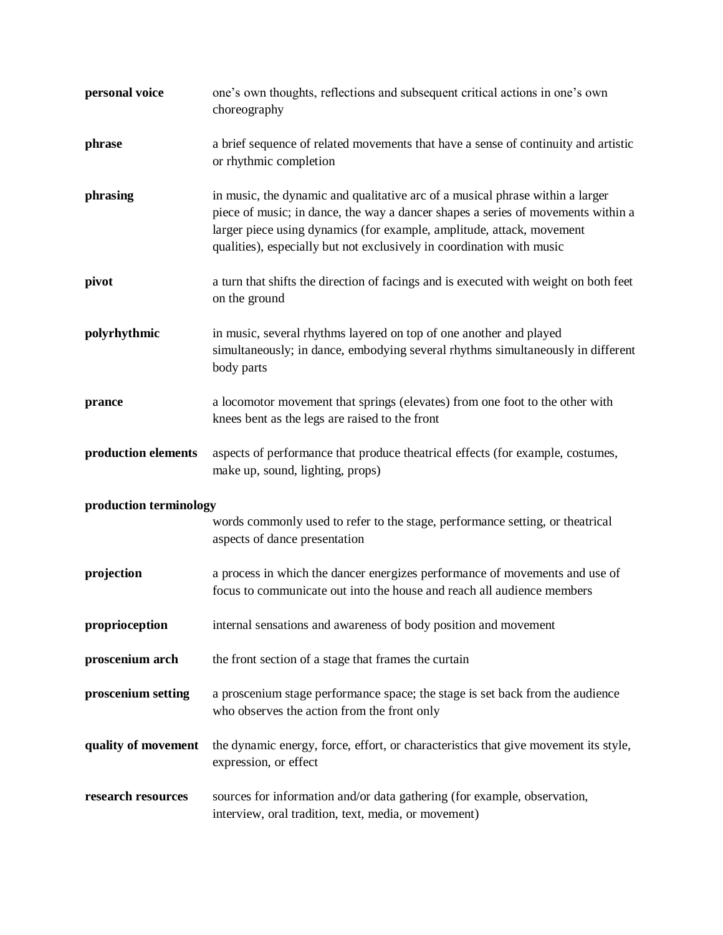| personal voice         | one's own thoughts, reflections and subsequent critical actions in one's own<br>choreography                                                                                                                                                                                                                        |
|------------------------|---------------------------------------------------------------------------------------------------------------------------------------------------------------------------------------------------------------------------------------------------------------------------------------------------------------------|
| phrase                 | a brief sequence of related movements that have a sense of continuity and artistic<br>or rhythmic completion                                                                                                                                                                                                        |
| phrasing               | in music, the dynamic and qualitative arc of a musical phrase within a larger<br>piece of music; in dance, the way a dancer shapes a series of movements within a<br>larger piece using dynamics (for example, amplitude, attack, movement<br>qualities), especially but not exclusively in coordination with music |
| pivot                  | a turn that shifts the direction of facings and is executed with weight on both feet<br>on the ground                                                                                                                                                                                                               |
| polyrhythmic           | in music, several rhythms layered on top of one another and played<br>simultaneously; in dance, embodying several rhythms simultaneously in different<br>body parts                                                                                                                                                 |
| prance                 | a locomotor movement that springs (elevates) from one foot to the other with<br>knees bent as the legs are raised to the front                                                                                                                                                                                      |
| production elements    | aspects of performance that produce theatrical effects (for example, costumes,<br>make up, sound, lighting, props)                                                                                                                                                                                                  |
| production terminology |                                                                                                                                                                                                                                                                                                                     |
|                        | words commonly used to refer to the stage, performance setting, or theatrical<br>aspects of dance presentation                                                                                                                                                                                                      |
| projection             | a process in which the dancer energizes performance of movements and use of<br>focus to communicate out into the house and reach all audience members                                                                                                                                                               |
| proprioception         | internal sensations and awareness of body position and movement                                                                                                                                                                                                                                                     |
| proscenium arch        | the front section of a stage that frames the curtain                                                                                                                                                                                                                                                                |
| proscenium setting     | a proscenium stage performance space; the stage is set back from the audience<br>who observes the action from the front only                                                                                                                                                                                        |
| quality of movement    | the dynamic energy, force, effort, or characteristics that give movement its style,<br>expression, or effect                                                                                                                                                                                                        |
| research resources     | sources for information and/or data gathering (for example, observation,<br>interview, oral tradition, text, media, or movement)                                                                                                                                                                                    |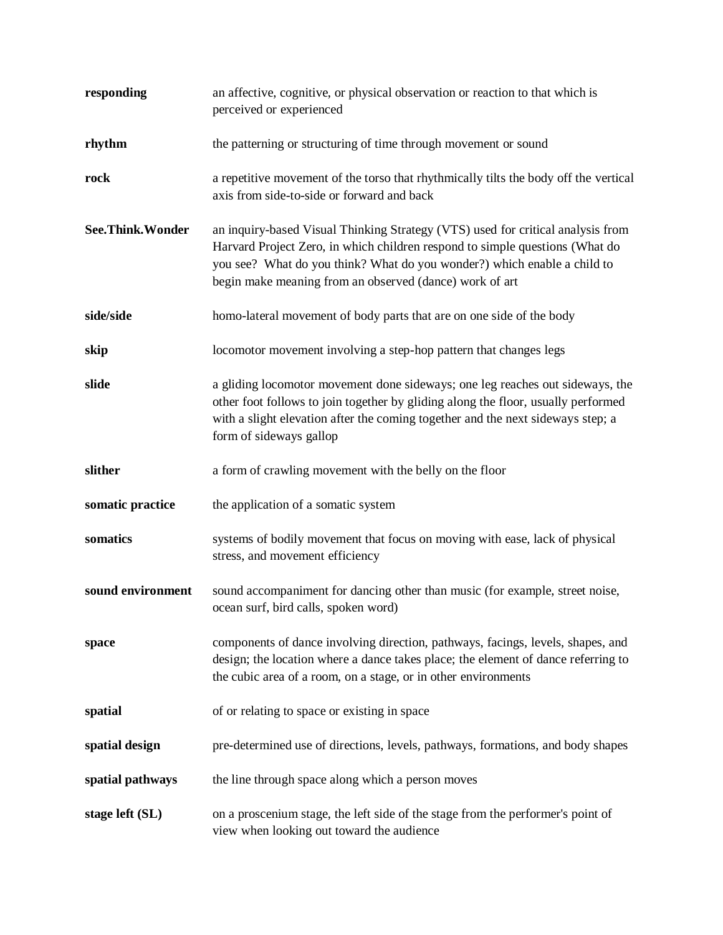| responding        | an affective, cognitive, or physical observation or reaction to that which is<br>perceived or experienced                                                                                                                                                                                              |
|-------------------|--------------------------------------------------------------------------------------------------------------------------------------------------------------------------------------------------------------------------------------------------------------------------------------------------------|
| rhythm            | the patterning or structuring of time through movement or sound                                                                                                                                                                                                                                        |
| rock              | a repetitive movement of the torso that rhythmically tilts the body off the vertical<br>axis from side-to-side or forward and back                                                                                                                                                                     |
| See.Think.Wonder  | an inquiry-based Visual Thinking Strategy (VTS) used for critical analysis from<br>Harvard Project Zero, in which children respond to simple questions (What do<br>you see? What do you think? What do you wonder?) which enable a child to<br>begin make meaning from an observed (dance) work of art |
| side/side         | homo-lateral movement of body parts that are on one side of the body                                                                                                                                                                                                                                   |
| skip              | locomotor movement involving a step-hop pattern that changes legs                                                                                                                                                                                                                                      |
| slide             | a gliding locomotor movement done sideways; one leg reaches out sideways, the<br>other foot follows to join together by gliding along the floor, usually performed<br>with a slight elevation after the coming together and the next sideways step; a<br>form of sideways gallop                       |
| slither           | a form of crawling movement with the belly on the floor                                                                                                                                                                                                                                                |
| somatic practice  | the application of a somatic system                                                                                                                                                                                                                                                                    |
| somatics          | systems of bodily movement that focus on moving with ease, lack of physical<br>stress, and movement efficiency                                                                                                                                                                                         |
| sound environment | sound accompaniment for dancing other than music (for example, street noise,<br>ocean surf, bird calls, spoken word)                                                                                                                                                                                   |
| space             | components of dance involving direction, pathways, facings, levels, shapes, and<br>design; the location where a dance takes place; the element of dance referring to<br>the cubic area of a room, on a stage, or in other environments                                                                 |
| spatial           | of or relating to space or existing in space                                                                                                                                                                                                                                                           |
| spatial design    | pre-determined use of directions, levels, pathways, formations, and body shapes                                                                                                                                                                                                                        |
| spatial pathways  | the line through space along which a person moves                                                                                                                                                                                                                                                      |
| stage left (SL)   | on a proscenium stage, the left side of the stage from the performer's point of<br>view when looking out toward the audience                                                                                                                                                                           |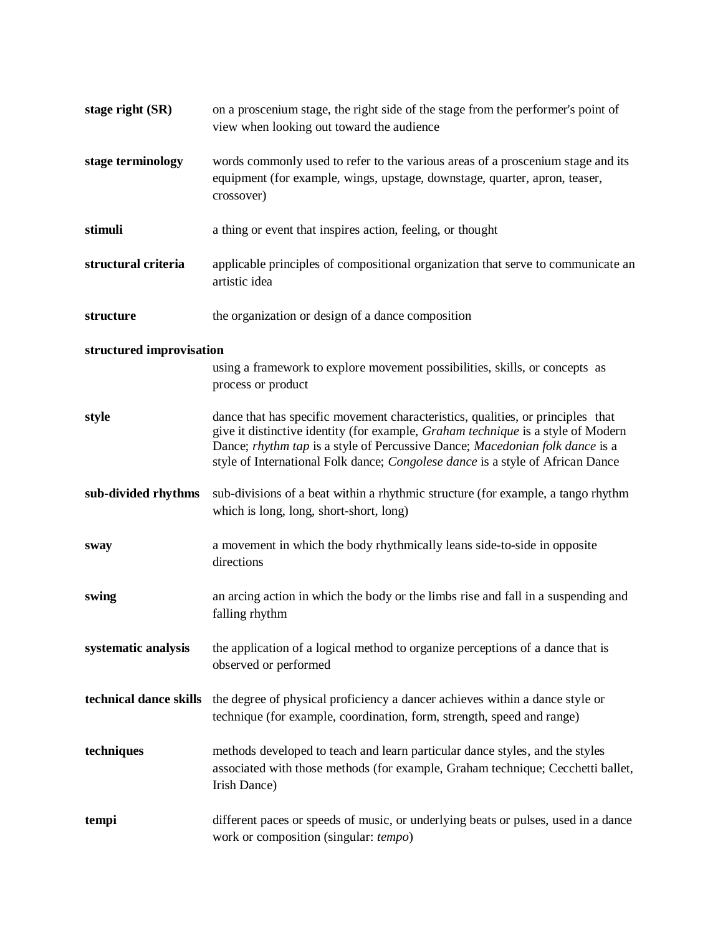| stage right (SR)         | on a proscenium stage, the right side of the stage from the performer's point of<br>view when looking out toward the audience                                                                                                                                                                                                         |
|--------------------------|---------------------------------------------------------------------------------------------------------------------------------------------------------------------------------------------------------------------------------------------------------------------------------------------------------------------------------------|
| stage terminology        | words commonly used to refer to the various areas of a proscenium stage and its<br>equipment (for example, wings, upstage, downstage, quarter, apron, teaser,<br>crossover)                                                                                                                                                           |
| stimuli                  | a thing or event that inspires action, feeling, or thought                                                                                                                                                                                                                                                                            |
| structural criteria      | applicable principles of compositional organization that serve to communicate an<br>artistic idea                                                                                                                                                                                                                                     |
| structure                | the organization or design of a dance composition                                                                                                                                                                                                                                                                                     |
| structured improvisation |                                                                                                                                                                                                                                                                                                                                       |
|                          | using a framework to explore movement possibilities, skills, or concepts as<br>process or product                                                                                                                                                                                                                                     |
| style                    | dance that has specific movement characteristics, qualities, or principles that<br>give it distinctive identity (for example, Graham technique is a style of Modern<br>Dance; rhythm tap is a style of Percussive Dance; Macedonian folk dance is a<br>style of International Folk dance; Congolese dance is a style of African Dance |
| sub-divided rhythms      | sub-divisions of a beat within a rhythmic structure (for example, a tango rhythm<br>which is long, long, short-short, long)                                                                                                                                                                                                           |
| sway                     | a movement in which the body rhythmically leans side-to-side in opposite<br>directions                                                                                                                                                                                                                                                |
| swing                    | an arcing action in which the body or the limbs rise and fall in a suspending and<br>falling rhythm                                                                                                                                                                                                                                   |
| systematic analysis      | the application of a logical method to organize perceptions of a dance that is<br>observed or performed                                                                                                                                                                                                                               |
| technical dance skills   | the degree of physical proficiency a dancer achieves within a dance style or<br>technique (for example, coordination, form, strength, speed and range)                                                                                                                                                                                |
| techniques               | methods developed to teach and learn particular dance styles, and the styles<br>associated with those methods (for example, Graham technique; Cecchetti ballet,<br>Irish Dance)                                                                                                                                                       |
| tempi                    | different paces or speeds of music, or underlying beats or pulses, used in a dance<br>work or composition (singular: tempo)                                                                                                                                                                                                           |